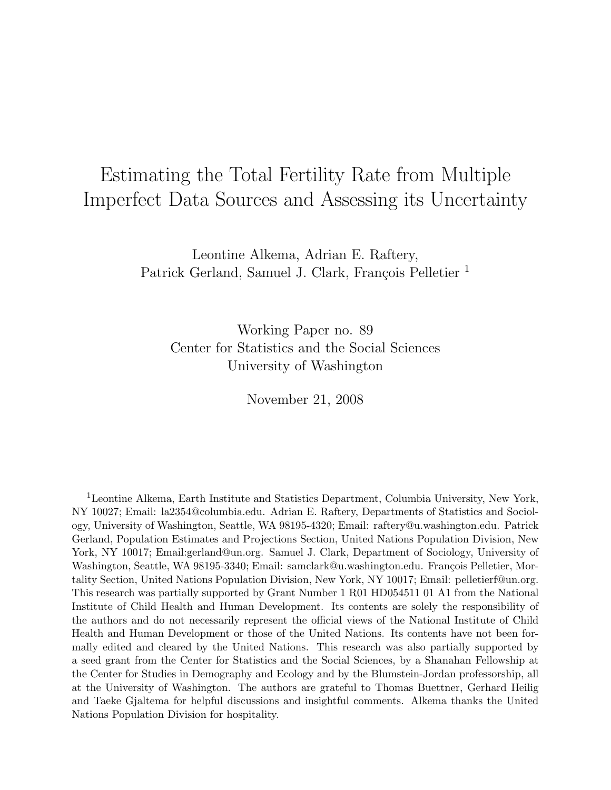# Estimating the Total Fertility Rate from Multiple Imperfect Data Sources and Assessing its Uncertainty

Leontine Alkema, Adrian E. Raftery, Patrick Gerland, Samuel J. Clark, François Pelletier<sup>1</sup>

Working Paper no. 89 Center for Statistics and the Social Sciences University of Washington

November 21, 2008

<sup>1</sup>Leontine Alkema, Earth Institute and Statistics Department, Columbia University, New York, NY 10027; Email: la2354@columbia.edu. Adrian E. Raftery, Departments of Statistics and Sociology, University of Washington, Seattle, WA 98195-4320; Email: raftery@u.washington.edu. Patrick Gerland, Population Estimates and Projections Section, United Nations Population Division, New York, NY 10017; Email:gerland@un.org. Samuel J. Clark, Department of Sociology, University of Washington, Seattle, WA 98195-3340; Email: samclark@u.washington.edu. François Pelletier, Mortality Section, United Nations Population Division, New York, NY 10017; Email: pelletierf@un.org. This research was partially supported by Grant Number 1 R01 HD054511 01 A1 from the National Institute of Child Health and Human Development. Its contents are solely the responsibility of the authors and do not necessarily represent the official views of the National Institute of Child Health and Human Development or those of the United Nations. Its contents have not been formally edited and cleared by the United Nations. This research was also partially supported by a seed grant from the Center for Statistics and the Social Sciences, by a Shanahan Fellowship at the Center for Studies in Demography and Ecology and by the Blumstein-Jordan professorship, all at the University of Washington. The authors are grateful to Thomas Buettner, Gerhard Heilig and Taeke Gjaltema for helpful discussions and insightful comments. Alkema thanks the United Nations Population Division for hospitality.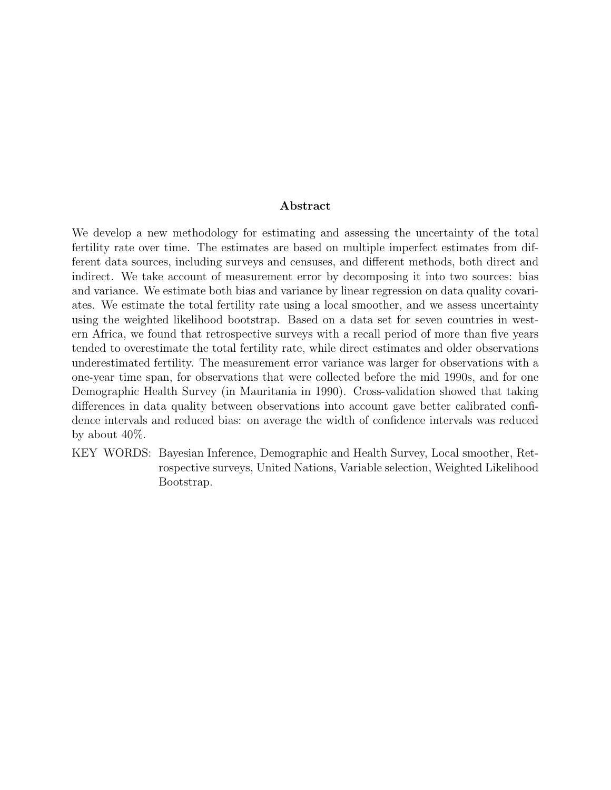#### Abstract

We develop a new methodology for estimating and assessing the uncertainty of the total fertility rate over time. The estimates are based on multiple imperfect estimates from different data sources, including surveys and censuses, and different methods, both direct and indirect. We take account of measurement error by decomposing it into two sources: bias and variance. We estimate both bias and variance by linear regression on data quality covariates. We estimate the total fertility rate using a local smoother, and we assess uncertainty using the weighted likelihood bootstrap. Based on a data set for seven countries in western Africa, we found that retrospective surveys with a recall period of more than five years tended to overestimate the total fertility rate, while direct estimates and older observations underestimated fertility. The measurement error variance was larger for observations with a one-year time span, for observations that were collected before the mid 1990s, and for one Demographic Health Survey (in Mauritania in 1990). Cross-validation showed that taking differences in data quality between observations into account gave better calibrated confidence intervals and reduced bias: on average the width of confidence intervals was reduced by about 40%.

KEY WORDS: Bayesian Inference, Demographic and Health Survey, Local smoother, Retrospective surveys, United Nations, Variable selection, Weighted Likelihood Bootstrap.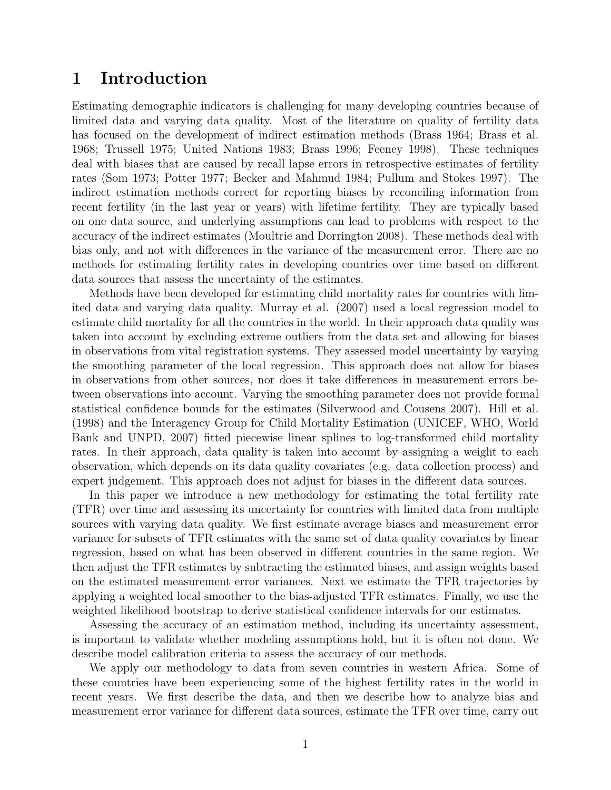## 1 Introduction

Estimating demographic indicators is challenging for many developing countries because of limited data and varying data quality. Most of the literature on quality of fertility data has focused on the development of indirect estimation methods (Brass 1964; Brass et al. 1968; Trussell 1975; United Nations 1983; Brass 1996; Feeney 1998). These techniques deal with biases that are caused by recall lapse errors in retrospective estimates of fertility rates (Som 1973; Potter 1977; Becker and Mahmud 1984; Pullum and Stokes 1997). The indirect estimation methods correct for reporting biases by reconciling information from recent fertility (in the last year or years) with lifetime fertility. They are typically based on one data source, and underlying assumptions can lead to problems with respect to the accuracy of the indirect estimates (Moultrie and Dorrington 2008). These methods deal with bias only, and not with differences in the variance of the measurement error. There are no methods for estimating fertility rates in developing countries over time based on different data sources that assess the uncertainty of the estimates.

Methods have been developed for estimating child mortality rates for countries with limited data and varying data quality. Murray et al. (2007) used a local regression model to estimate child mortality for all the countries in the world. In their approach data quality was taken into account by excluding extreme outliers from the data set and allowing for biases in observations from vital registration systems. They assessed model uncertainty by varying the smoothing parameter of the local regression. This approach does not allow for biases in observations from other sources, nor does it take differences in measurement errors between observations into account. Varying the smoothing parameter does not provide formal statistical confidence bounds for the estimates (Silverwood and Cousens 2007). Hill et al. (1998) and the Interagency Group for Child Mortality Estimation (UNICEF, WHO, World Bank and UNPD, 2007) fitted piecewise linear splines to log-transformed child mortality rates. In their approach, data quality is taken into account by assigning a weight to each observation, which depends on its data quality covariates (e.g. data collection process) and expert judgement. This approach does not adjust for biases in the different data sources.

In this paper we introduce a new methodology for estimating the total fertility rate (TFR) over time and assessing its uncertainty for countries with limited data from multiple sources with varying data quality. We first estimate average biases and measurement error variance for subsets of TFR estimates with the same set of data quality covariates by linear regression, based on what has been observed in different countries in the same region. We then adjust the TFR estimates by subtracting the estimated biases, and assign weights based on the estimated measurement error variances. Next we estimate the TFR trajectories by applying a weighted local smoother to the bias-adjusted TFR estimates. Finally, we use the weighted likelihood bootstrap to derive statistical confidence intervals for our estimates.

Assessing the accuracy of an estimation method, including its uncertainty assessment, is important to validate whether modeling assumptions hold, but it is often not done. We describe model calibration criteria to assess the accuracy of our methods.

We apply our methodology to data from seven countries in western Africa. Some of these countries have been experiencing some of the highest fertility rates in the world in recent years. We first describe the data, and then we describe how to analyze bias and measurement error variance for different data sources, estimate the TFR over time, carry out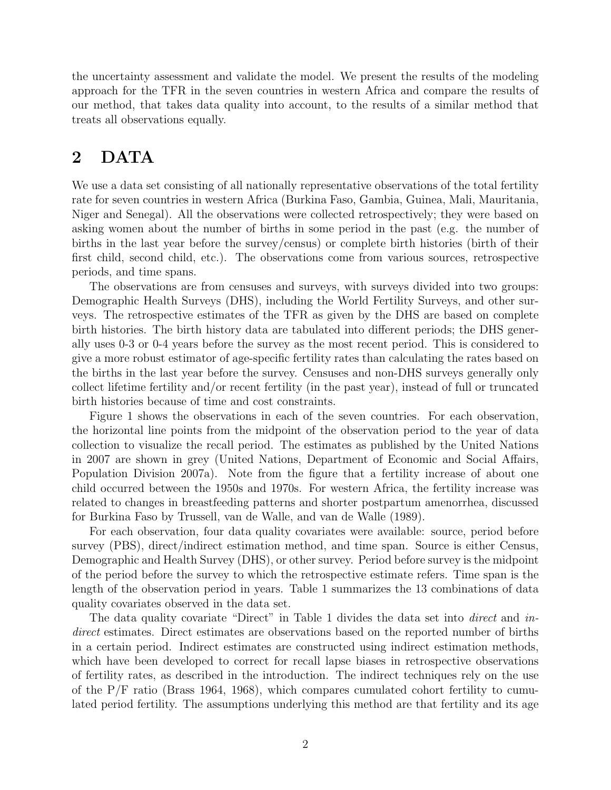the uncertainty assessment and validate the model. We present the results of the modeling approach for the TFR in the seven countries in western Africa and compare the results of our method, that takes data quality into account, to the results of a similar method that treats all observations equally.

## 2 DATA

We use a data set consisting of all nationally representative observations of the total fertility rate for seven countries in western Africa (Burkina Faso, Gambia, Guinea, Mali, Mauritania, Niger and Senegal). All the observations were collected retrospectively; they were based on asking women about the number of births in some period in the past (e.g. the number of births in the last year before the survey/census) or complete birth histories (birth of their first child, second child, etc.). The observations come from various sources, retrospective periods, and time spans.

The observations are from censuses and surveys, with surveys divided into two groups: Demographic Health Surveys (DHS), including the World Fertility Surveys, and other surveys. The retrospective estimates of the TFR as given by the DHS are based on complete birth histories. The birth history data are tabulated into different periods; the DHS generally uses 0-3 or 0-4 years before the survey as the most recent period. This is considered to give a more robust estimator of age-specific fertility rates than calculating the rates based on the births in the last year before the survey. Censuses and non-DHS surveys generally only collect lifetime fertility and/or recent fertility (in the past year), instead of full or truncated birth histories because of time and cost constraints.

Figure 1 shows the observations in each of the seven countries. For each observation, the horizontal line points from the midpoint of the observation period to the year of data collection to visualize the recall period. The estimates as published by the United Nations in 2007 are shown in grey (United Nations, Department of Economic and Social Affairs, Population Division 2007a). Note from the figure that a fertility increase of about one child occurred between the 1950s and 1970s. For western Africa, the fertility increase was related to changes in breastfeeding patterns and shorter postpartum amenorrhea, discussed for Burkina Faso by Trussell, van de Walle, and van de Walle (1989).

For each observation, four data quality covariates were available: source, period before survey (PBS), direct/indirect estimation method, and time span. Source is either Census, Demographic and Health Survey (DHS), or other survey. Period before survey is the midpoint of the period before the survey to which the retrospective estimate refers. Time span is the length of the observation period in years. Table 1 summarizes the 13 combinations of data quality covariates observed in the data set.

The data quality covariate "Direct" in Table 1 divides the data set into *direct* and indirect estimates. Direct estimates are observations based on the reported number of births in a certain period. Indirect estimates are constructed using indirect estimation methods, which have been developed to correct for recall lapse biases in retrospective observations of fertility rates, as described in the introduction. The indirect techniques rely on the use of the P/F ratio (Brass 1964, 1968), which compares cumulated cohort fertility to cumulated period fertility. The assumptions underlying this method are that fertility and its age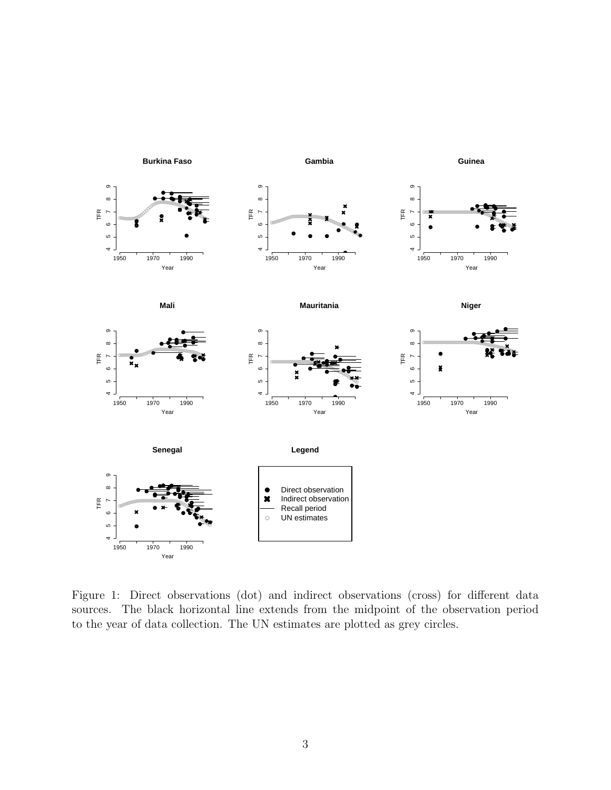

Figure 1: Direct observations (dot) and indirect observations (cross) for different data sources. The black horizontal line extends from the midpoint of the observation period to the year of data collection. The UN estimates are plotted as grey circles.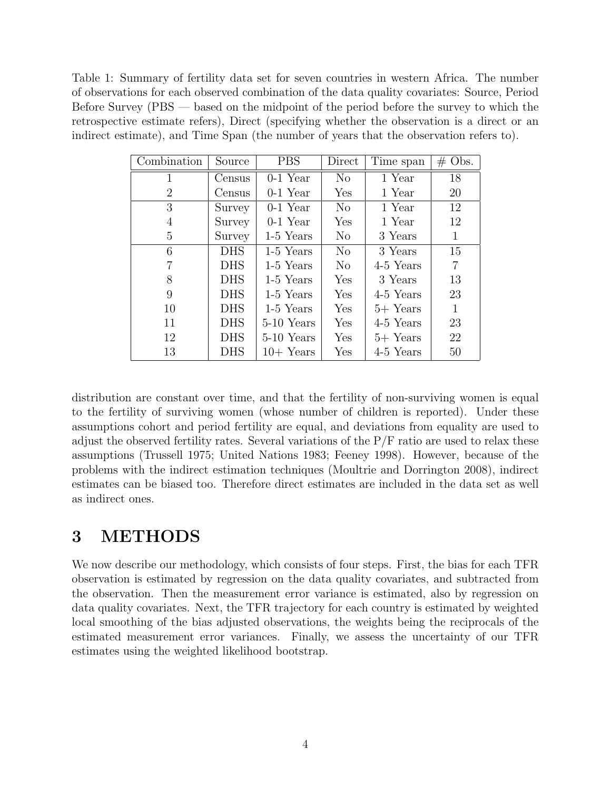Table 1: Summary of fertility data set for seven countries in western Africa. The number of observations for each observed combination of the data quality covariates: Source, Period Before Survey (PBS — based on the midpoint of the period before the survey to which the retrospective estimate refers), Direct (specifying whether the observation is a direct or an indirect estimate), and Time Span (the number of years that the observation refers to).

| Combination | Source     | <b>PBS</b>  | Direct         | Time span  | $\#$ Obs. |
|-------------|------------|-------------|----------------|------------|-----------|
| 1           | Census     | $0-1$ Year  | No             | 1 Year     | 18        |
| 2           | Census     | $0-1$ Year  | Yes            | 1 Year     | 20        |
| 3           | Survey     | $0-1$ Year  | N <sub>o</sub> | 1 Year     | 12        |
| 4           | Survey     | $0-1$ Year  | Yes            | 1 Year     | 12        |
| 5           | Survey     | 1-5 Years   | N <sub>o</sub> | 3 Years    | 1         |
| 6           | <b>DHS</b> | 1-5 Years   | $\rm No$       | 3 Years    | 15        |
| 7           | <b>DHS</b> | 1-5 Years   | $\rm No$       | 4-5 Years  | 7         |
| 8           | <b>DHS</b> | 1-5 Years   | Yes            | 3 Years    | 13        |
| 9           | <b>DHS</b> | 1-5 Years   | Yes            | 4-5 Years  | 23        |
| 10          | <b>DHS</b> | 1-5 Years   | Yes            | $5+$ Years | 1         |
| 11          | <b>DHS</b> | 5-10 Years  | Yes            | 4-5 Years  | 23        |
| 12          | <b>DHS</b> | 5-10 Years  | Yes            | $5+$ Years | 22        |
| 13          | <b>DHS</b> | $10+$ Years | Yes            | 4-5 Years  | 50        |

distribution are constant over time, and that the fertility of non-surviving women is equal to the fertility of surviving women (whose number of children is reported). Under these assumptions cohort and period fertility are equal, and deviations from equality are used to adjust the observed fertility rates. Several variations of the  $P/F$  ratio are used to relax these assumptions (Trussell 1975; United Nations 1983; Feeney 1998). However, because of the problems with the indirect estimation techniques (Moultrie and Dorrington 2008), indirect estimates can be biased too. Therefore direct estimates are included in the data set as well as indirect ones.

## 3 METHODS

We now describe our methodology, which consists of four steps. First, the bias for each TFR observation is estimated by regression on the data quality covariates, and subtracted from the observation. Then the measurement error variance is estimated, also by regression on data quality covariates. Next, the TFR trajectory for each country is estimated by weighted local smoothing of the bias adjusted observations, the weights being the reciprocals of the estimated measurement error variances. Finally, we assess the uncertainty of our TFR estimates using the weighted likelihood bootstrap.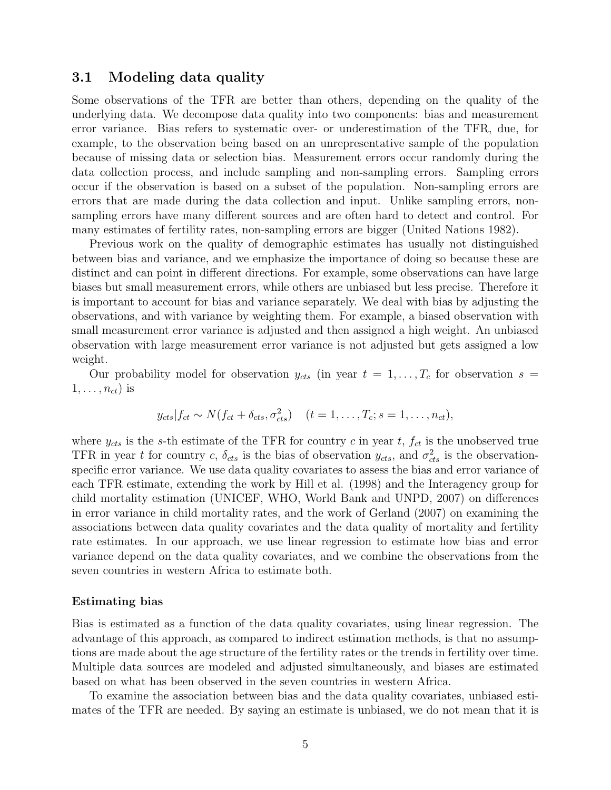#### 3.1 Modeling data quality

Some observations of the TFR are better than others, depending on the quality of the underlying data. We decompose data quality into two components: bias and measurement error variance. Bias refers to systematic over- or underestimation of the TFR, due, for example, to the observation being based on an unrepresentative sample of the population because of missing data or selection bias. Measurement errors occur randomly during the data collection process, and include sampling and non-sampling errors. Sampling errors occur if the observation is based on a subset of the population. Non-sampling errors are errors that are made during the data collection and input. Unlike sampling errors, nonsampling errors have many different sources and are often hard to detect and control. For many estimates of fertility rates, non-sampling errors are bigger (United Nations 1982).

Previous work on the quality of demographic estimates has usually not distinguished between bias and variance, and we emphasize the importance of doing so because these are distinct and can point in different directions. For example, some observations can have large biases but small measurement errors, while others are unbiased but less precise. Therefore it is important to account for bias and variance separately. We deal with bias by adjusting the observations, and with variance by weighting them. For example, a biased observation with small measurement error variance is adjusted and then assigned a high weight. An unbiased observation with large measurement error variance is not adjusted but gets assigned a low weight.

Our probability model for observation  $y_{cts}$  (in year  $t = 1, \ldots, T_c$  for observation  $s =$  $1, \ldots, n_{ct}$ ) is

$$
y_{cts}|f_{ct} \sim N(f_{ct} + \delta_{cts}, \sigma_{cts}^2) \quad (t = 1, \ldots, T_c; s = 1, \ldots, n_{ct}),
$$

where  $y_{cts}$  is the s-th estimate of the TFR for country c in year t,  $f_{ct}$  is the unobserved true TFR in year t for country c,  $\delta_{cts}$  is the bias of observation  $y_{cts}$ , and  $\sigma_{cts}^2$  is the observationspecific error variance. We use data quality covariates to assess the bias and error variance of each TFR estimate, extending the work by Hill et al. (1998) and the Interagency group for child mortality estimation (UNICEF, WHO, World Bank and UNPD, 2007) on differences in error variance in child mortality rates, and the work of Gerland (2007) on examining the associations between data quality covariates and the data quality of mortality and fertility rate estimates. In our approach, we use linear regression to estimate how bias and error variance depend on the data quality covariates, and we combine the observations from the seven countries in western Africa to estimate both.

#### Estimating bias

Bias is estimated as a function of the data quality covariates, using linear regression. The advantage of this approach, as compared to indirect estimation methods, is that no assumptions are made about the age structure of the fertility rates or the trends in fertility over time. Multiple data sources are modeled and adjusted simultaneously, and biases are estimated based on what has been observed in the seven countries in western Africa.

To examine the association between bias and the data quality covariates, unbiased estimates of the TFR are needed. By saying an estimate is unbiased, we do not mean that it is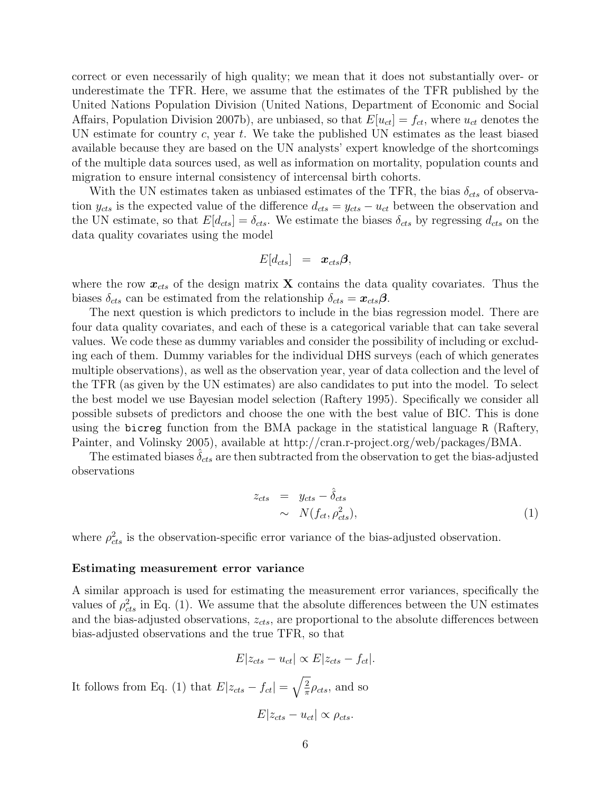correct or even necessarily of high quality; we mean that it does not substantially over- or underestimate the TFR. Here, we assume that the estimates of the TFR published by the United Nations Population Division (United Nations, Department of Economic and Social Affairs, Population Division 2007b), are unbiased, so that  $E[u_{ct}] = f_{ct}$ , where  $u_{ct}$  denotes the UN estimate for country c, year t. We take the published UN estimates as the least biased available because they are based on the UN analysts' expert knowledge of the shortcomings of the multiple data sources used, as well as information on mortality, population counts and migration to ensure internal consistency of intercensal birth cohorts.

With the UN estimates taken as unbiased estimates of the TFR, the bias  $\delta_{cts}$  of observation  $y_{cts}$  is the expected value of the difference  $d_{cts} = y_{cts} - u_{ct}$  between the observation and the UN estimate, so that  $E[d_{cts}] = \delta_{cts}$ . We estimate the biases  $\delta_{cts}$  by regressing  $d_{cts}$  on the data quality covariates using the model

$$
E[d_{cts}] \;\; = \;\; \boldsymbol{x}_{cts}\boldsymbol{\beta},
$$

where the row  $x_{cts}$  of the design matrix **X** contains the data quality covariates. Thus the biases  $\delta_{cts}$  can be estimated from the relationship  $\delta_{cts} = x_{cts}\beta$ .

The next question is which predictors to include in the bias regression model. There are four data quality covariates, and each of these is a categorical variable that can take several values. We code these as dummy variables and consider the possibility of including or excluding each of them. Dummy variables for the individual DHS surveys (each of which generates multiple observations), as well as the observation year, year of data collection and the level of the TFR (as given by the UN estimates) are also candidates to put into the model. To select the best model we use Bayesian model selection (Raftery 1995). Specifically we consider all possible subsets of predictors and choose the one with the best value of BIC. This is done using the bicreg function from the BMA package in the statistical language R (Raftery, Painter, and Volinsky 2005), available at http://cran.r-project.org/web/packages/BMA.

The estimated biases  $\delta_{cts}$  are then subtracted from the observation to get the bias-adjusted observations

$$
z_{cts} = y_{cts} - \hat{\delta}_{cts} \n\sim N(f_{ct}, \rho_{cts}^2),
$$
\n(1)

where  $\rho_{cts}^2$  is the observation-specific error variance of the bias-adjusted observation.

#### Estimating measurement error variance

A similar approach is used for estimating the measurement error variances, specifically the values of  $\rho_{cts}^2$  in Eq. (1). We assume that the absolute differences between the UN estimates and the bias-adjusted observations,  $z_{cts}$ , are proportional to the absolute differences between bias-adjusted observations and the true TFR, so that

$$
E|z_{cts} - u_{ct}| \propto E|z_{cts} - f_{ct}|.
$$
 It follows from Eq. (1) that 
$$
E|z_{cts} - f_{ct}| = \sqrt{\frac{2}{\pi}} \rho_{cts}, \text{ and so}
$$

$$
E|z_{cts} - u_{ct}| \propto \rho_{cts}.
$$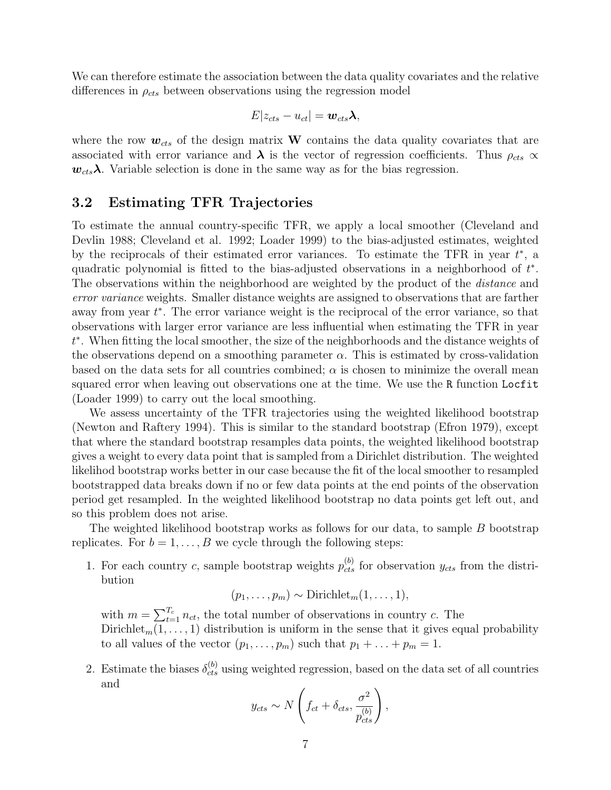We can therefore estimate the association between the data quality covariates and the relative differences in  $\rho_{cts}$  between observations using the regression model

$$
E|z_{cts} - u_{ct}| = \boldsymbol{w}_{cts}\boldsymbol{\lambda},
$$

where the row  $w_{cts}$  of the design matrix W contains the data quality covariates that are associated with error variance and  $\lambda$  is the vector of regression coefficients. Thus  $\rho_{cts} \propto \frac{1}{\lambda}$  $w_{cts}\lambda$ . Variable selection is done in the same way as for the bias regression.

#### 3.2 Estimating TFR Trajectories

To estimate the annual country-specific TFR, we apply a local smoother (Cleveland and Devlin 1988; Cleveland et al. 1992; Loader 1999) to the bias-adjusted estimates, weighted by the reciprocals of their estimated error variances. To estimate the TFR in year  $t^*$ , a quadratic polynomial is fitted to the bias-adjusted observations in a neighborhood of  $t^*$ . The observations within the neighborhood are weighted by the product of the *distance* and error variance weights. Smaller distance weights are assigned to observations that are farther away from year  $t^*$ . The error variance weight is the reciprocal of the error variance, so that observations with larger error variance are less influential when estimating the TFR in year t ∗ . When fitting the local smoother, the size of the neighborhoods and the distance weights of the observations depend on a smoothing parameter  $\alpha$ . This is estimated by cross-validation based on the data sets for all countries combined;  $\alpha$  is chosen to minimize the overall mean squared error when leaving out observations one at the time. We use the R function Locfit (Loader 1999) to carry out the local smoothing.

We assess uncertainty of the TFR trajectories using the weighted likelihood bootstrap (Newton and Raftery 1994). This is similar to the standard bootstrap (Efron 1979), except that where the standard bootstrap resamples data points, the weighted likelihood bootstrap gives a weight to every data point that is sampled from a Dirichlet distribution. The weighted likelihod bootstrap works better in our case because the fit of the local smoother to resampled bootstrapped data breaks down if no or few data points at the end points of the observation period get resampled. In the weighted likelihood bootstrap no data points get left out, and so this problem does not arise.

The weighted likelihood bootstrap works as follows for our data, to sample B bootstrap replicates. For  $b = 1, \ldots, B$  we cycle through the following steps:

1. For each country c, sample bootstrap weights  $p_{cts}^{(b)}$  for observation  $y_{cts}$  from the distribution

$$
(p_1,\ldots,p_m) \sim \text{Dirichlet}_m(1,\ldots,1),
$$

with  $m = \sum_{t=1}^{T_c} n_{ct}$ , the total number of observations in country c. The Dirichlet<sub>m</sub> $(1, \ldots, 1)$  distribution is uniform in the sense that it gives equal probability to all values of the vector  $(p_1, \ldots, p_m)$  such that  $p_1 + \ldots + p_m = 1$ .

2. Estimate the biases  $\delta_{cts}^{(b)}$  using weighted regression, based on the data set of all countries and

$$
y_{cts} \sim N\left(f_{ct} + \delta_{cts}, \frac{\sigma^2}{p_{cts}^{(b)}}\right),
$$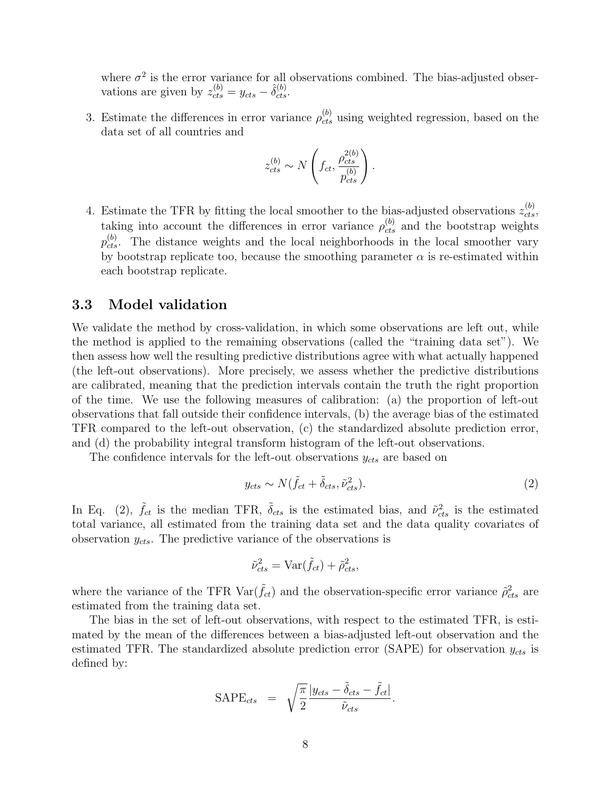where  $\sigma^2$  is the error variance for all observations combined. The bias-adjusted observations are given by  $z_{cts}^{(b)} = y_{cts} - \hat{\delta}_{cts}^{(b)}$ .

3. Estimate the differences in error variance  $\rho_{cts}^{(b)}$  using weighted regression, based on the data set of all countries and

$$
z_{cts}^{(b)} \sim N\left(f_{ct}, \frac{\rho_{cts}^{2(b)}}{p_{cts}^{(b)}}\right).
$$

4. Estimate the TFR by fitting the local smoother to the bias-adjusted observations  $z_{cts}^{(b)}$ , taking into account the differences in error variance  $\rho_{cts}^{(b)}$  and the bootstrap weights  $p_{cts}^{(b)}$ . The distance weights and the local neighborhoods in the local smoother vary by bootstrap replicate too, because the smoothing parameter  $\alpha$  is re-estimated within each bootstrap replicate.

### 3.3 Model validation

We validate the method by cross-validation, in which some observations are left out, while the method is applied to the remaining observations (called the "training data set"). We then assess how well the resulting predictive distributions agree with what actually happened (the left-out observations). More precisely, we assess whether the predictive distributions are calibrated, meaning that the prediction intervals contain the truth the right proportion of the time. We use the following measures of calibration: (a) the proportion of left-out observations that fall outside their confidence intervals, (b) the average bias of the estimated TFR compared to the left-out observation, (c) the standardized absolute prediction error, and (d) the probability integral transform histogram of the left-out observations.

The confidence intervals for the left-out observations  $y_{cts}$  are based on

$$
y_{cts} \sim N(\tilde{f}_{ct} + \tilde{\delta}_{cts}, \tilde{\nu}_{cts}^2). \tag{2}
$$

In Eq. (2),  $\tilde{f}_{ct}$  is the median TFR,  $\tilde{\delta}_{cts}$  is the estimated bias, and  $\tilde{\nu}_{cts}^2$  is the estimated total variance, all estimated from the training data set and the data quality covariates of observation  $y_{cts}$ . The predictive variance of the observations is

$$
\tilde{\nu}_{cts}^2 = \text{Var}(\tilde{f}_{ct}) + \tilde{\rho}_{cts}^2,
$$

where the variance of the TFR  $Var(\tilde{f}_{ct})$  and the observation-specific error variance  $\tilde{\rho}_{cts}^2$  are estimated from the training data set.

The bias in the set of left-out observations, with respect to the estimated TFR, is estimated by the mean of the differences between a bias-adjusted left-out observation and the estimated TFR. The standardized absolute prediction error (SAPE) for observation  $y_{cts}$  is defined by:

$$
\text{SAPE}_{cts} = \sqrt{\frac{\pi}{2}} \frac{|y_{cts} - \tilde{\delta}_{cts} - \tilde{f}_{ct}|}{\tilde{\nu}_{cts}}.
$$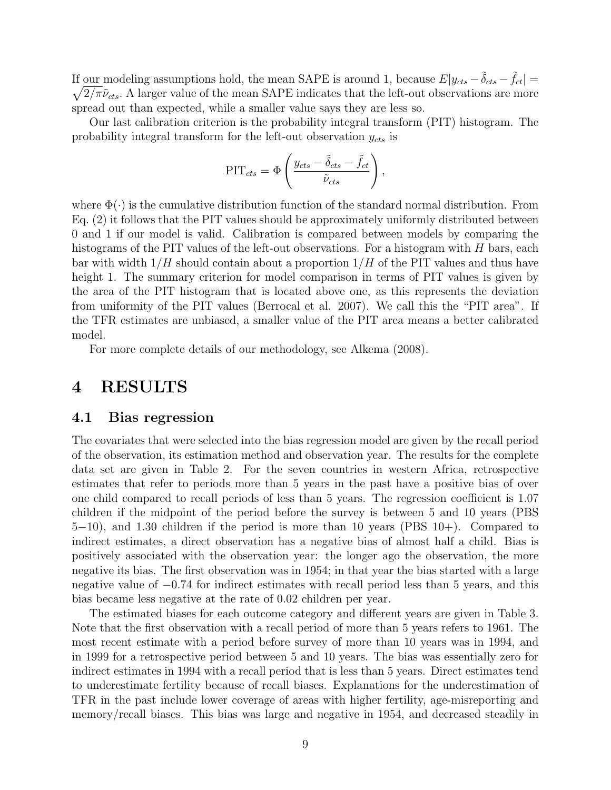If our modeling assumptions hold, the mean SAPE is around 1, because  $E|y_{cts} - \tilde{\delta}_{cts} - \tilde{f}_{ct}| =$  $\sqrt{2/\pi} \tilde{\nu}_{cts}$ . A larger value of the mean SAPE indicates that the left-out observations are more spread out than expected, while a smaller value says they are less so.

Our last calibration criterion is the probability integral transform (PIT) histogram. The probability integral transform for the left-out observation  $y_{cts}$  is

$$
PIT_{cts} = \Phi \left( \frac{y_{cts} - \tilde{\delta}_{cts} - \tilde{f}_{ct}}{\tilde{\nu}_{cts}} \right),
$$

where  $\Phi(\cdot)$  is the cumulative distribution function of the standard normal distribution. From Eq. (2) it follows that the PIT values should be approximately uniformly distributed between 0 and 1 if our model is valid. Calibration is compared between models by comparing the histograms of the PIT values of the left-out observations. For a histogram with  $H$  bars, each bar with width  $1/H$  should contain about a proportion  $1/H$  of the PIT values and thus have height 1. The summary criterion for model comparison in terms of PIT values is given by the area of the PIT histogram that is located above one, as this represents the deviation from uniformity of the PIT values (Berrocal et al. 2007). We call this the "PIT area". If the TFR estimates are unbiased, a smaller value of the PIT area means a better calibrated model.

For more complete details of our methodology, see Alkema (2008).

## 4 RESULTS

#### 4.1 Bias regression

The covariates that were selected into the bias regression model are given by the recall period of the observation, its estimation method and observation year. The results for the complete data set are given in Table 2. For the seven countries in western Africa, retrospective estimates that refer to periods more than 5 years in the past have a positive bias of over one child compared to recall periods of less than 5 years. The regression coefficient is 1.07 children if the midpoint of the period before the survey is between 5 and 10 years (PBS 5−10), and 1.30 children if the period is more than 10 years (PBS 10+). Compared to indirect estimates, a direct observation has a negative bias of almost half a child. Bias is positively associated with the observation year: the longer ago the observation, the more negative its bias. The first observation was in 1954; in that year the bias started with a large negative value of  $-0.74$  for indirect estimates with recall period less than 5 years, and this bias became less negative at the rate of 0.02 children per year.

The estimated biases for each outcome category and different years are given in Table 3. Note that the first observation with a recall period of more than 5 years refers to 1961. The most recent estimate with a period before survey of more than 10 years was in 1994, and in 1999 for a retrospective period between 5 and 10 years. The bias was essentially zero for indirect estimates in 1994 with a recall period that is less than 5 years. Direct estimates tend to underestimate fertility because of recall biases. Explanations for the underestimation of TFR in the past include lower coverage of areas with higher fertility, age-misreporting and memory/recall biases. This bias was large and negative in 1954, and decreased steadily in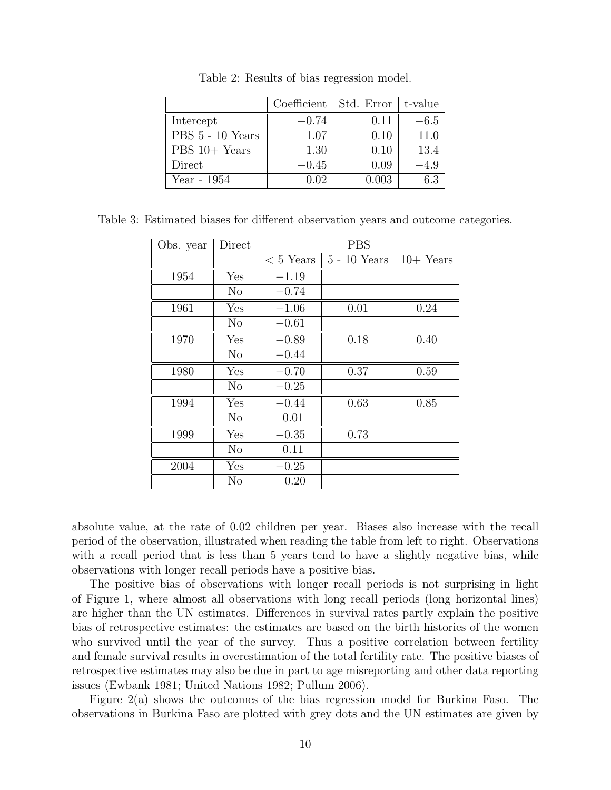|                                        | Coefficient | Std. Error | t-value |
|----------------------------------------|-------------|------------|---------|
| Intercept                              | $-0.74$     | 0.11       | $-6.5$  |
| $\overline{\mathrm{PBS}}$ 5 - 10 Years | 1.07        | 0.10       | 11.0    |
| $PBS 10+ Years$                        | 1.30        | 0.10       | 13.4    |
| Direct                                 | $-0.45$     | 0.09       | $-4.9$  |
| Year - $1954$                          | 0.02        | 0.003      | 6.3     |

Table 2: Results of bias regression model.

| Table 3: Estimated biases for different observation years and outcome categories. |  |  |  |
|-----------------------------------------------------------------------------------|--|--|--|
|                                                                                   |  |  |  |

| Obs. year | Direct         | <b>PBS</b> |                                  |             |  |  |
|-----------|----------------|------------|----------------------------------|-------------|--|--|
|           |                |            | $< 5$ Years $\vert 5 - 10$ Years | $10+$ Years |  |  |
| 1954      | Yes            | $-1.19$    |                                  |             |  |  |
|           | $\rm No$       | $-0.74$    |                                  |             |  |  |
| 1961      | Yes            | $-1.06$    | 0.01                             | 0.24        |  |  |
|           | N <sub>o</sub> | $-0.61$    |                                  |             |  |  |
| 1970      | Yes            | $-0.89$    | 0.18                             | 0.40        |  |  |
|           | No             | $-0.44$    |                                  |             |  |  |
| 1980      | Yes            | $-0.70$    | 0.37                             | 0.59        |  |  |
|           | N <sub>o</sub> | $-0.25$    |                                  |             |  |  |
| 1994      | Yes            | $-0.44$    | 0.63                             | 0.85        |  |  |
|           | $\rm No$       | 0.01       |                                  |             |  |  |
| 1999      | Yes            | $-0.35$    | 0.73                             |             |  |  |
|           | No             | 0.11       |                                  |             |  |  |
| 2004      | Yes            | $-0.25$    |                                  |             |  |  |
|           | $\rm No$       | 0.20       |                                  |             |  |  |

absolute value, at the rate of 0.02 children per year. Biases also increase with the recall period of the observation, illustrated when reading the table from left to right. Observations with a recall period that is less than 5 years tend to have a slightly negative bias, while observations with longer recall periods have a positive bias.

The positive bias of observations with longer recall periods is not surprising in light of Figure 1, where almost all observations with long recall periods (long horizontal lines) are higher than the UN estimates. Differences in survival rates partly explain the positive bias of retrospective estimates: the estimates are based on the birth histories of the women who survived until the year of the survey. Thus a positive correlation between fertility and female survival results in overestimation of the total fertility rate. The positive biases of retrospective estimates may also be due in part to age misreporting and other data reporting issues (Ewbank 1981; United Nations 1982; Pullum 2006).

Figure 2(a) shows the outcomes of the bias regression model for Burkina Faso. The observations in Burkina Faso are plotted with grey dots and the UN estimates are given by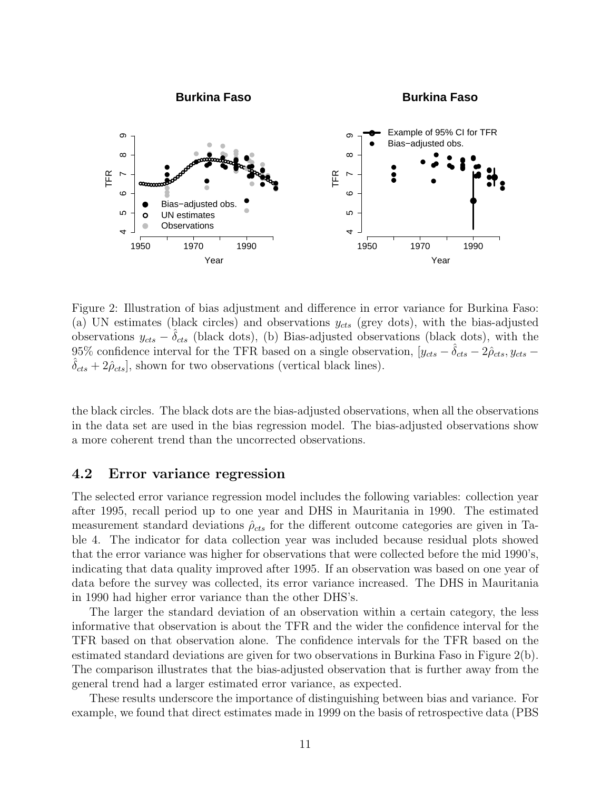

Figure 2: Illustration of bias adjustment and difference in error variance for Burkina Faso: (a) UN estimates (black circles) and observations  $y_{cts}$  (grey dots), with the bias-adjusted observations  $y_{cts} - \delta_{cts}$  (black dots), (b) Bias-adjusted observations (black dots), with the 95% confidence interval for the TFR based on a single observation,  $[y_{cts} - \delta_{cts} - 2\hat{\rho}_{cts}, y_{cts} \delta_{cts} + 2\hat{\rho}_{cts}$ , shown for two observations (vertical black lines).

the black circles. The black dots are the bias-adjusted observations, when all the observations in the data set are used in the bias regression model. The bias-adjusted observations show a more coherent trend than the uncorrected observations.

### 4.2 Error variance regression

The selected error variance regression model includes the following variables: collection year after 1995, recall period up to one year and DHS in Mauritania in 1990. The estimated measurement standard deviations  $\rho_{cts}$  for the different outcome categories are given in Table 4. The indicator for data collection year was included because residual plots showed that the error variance was higher for observations that were collected before the mid 1990's, indicating that data quality improved after 1995. If an observation was based on one year of data before the survey was collected, its error variance increased. The DHS in Mauritania in 1990 had higher error variance than the other DHS's.

The larger the standard deviation of an observation within a certain category, the less informative that observation is about the TFR and the wider the confidence interval for the TFR based on that observation alone. The confidence intervals for the TFR based on the estimated standard deviations are given for two observations in Burkina Faso in Figure 2(b). The comparison illustrates that the bias-adjusted observation that is further away from the general trend had a larger estimated error variance, as expected.

These results underscore the importance of distinguishing between bias and variance. For example, we found that direct estimates made in 1999 on the basis of retrospective data (PBS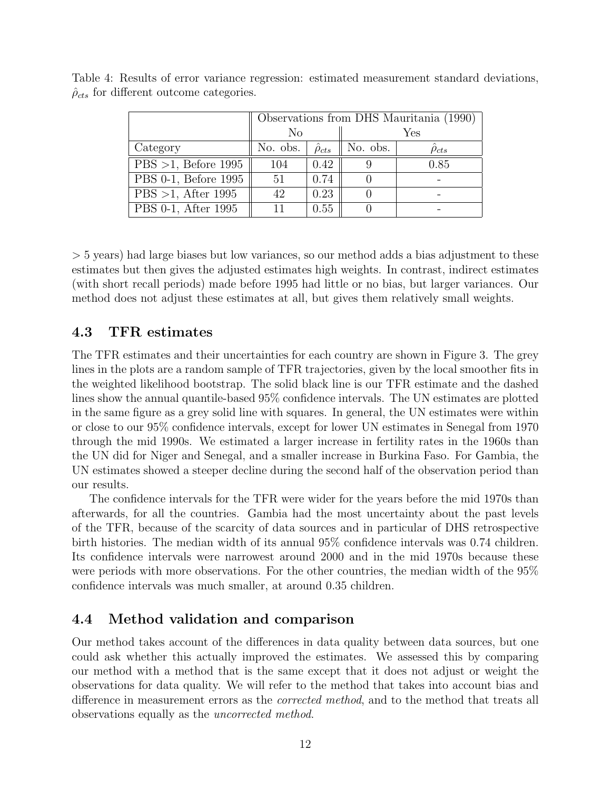|                        |                               | Observations from DHS Mauritania (1990) |          |                    |  |  |
|------------------------|-------------------------------|-----------------------------------------|----------|--------------------|--|--|
|                        | No                            |                                         | Yes      |                    |  |  |
| Category               | No. obs. $ \hat{\rho}_{cts} $ |                                         | No. obs. | $\hat{\rho}_{cts}$ |  |  |
| $PBS >1$ , Before 1995 | 104                           | 0.42                                    |          | 0.85               |  |  |
| PBS 0-1, Before 1995   | 51                            | 0.74                                    |          |                    |  |  |
| PBS >1, After 1995     | 42                            | 0.23                                    |          |                    |  |  |
| PBS 0-1, After 1995    | 11                            | 0.55                                    |          |                    |  |  |

Table 4: Results of error variance regression: estimated measurement standard deviations,  $\hat{\rho}_{cts}$  for different outcome categories.

> 5 years) had large biases but low variances, so our method adds a bias adjustment to these estimates but then gives the adjusted estimates high weights. In contrast, indirect estimates (with short recall periods) made before 1995 had little or no bias, but larger variances. Our method does not adjust these estimates at all, but gives them relatively small weights.

### 4.3 TFR estimates

The TFR estimates and their uncertainties for each country are shown in Figure 3. The grey lines in the plots are a random sample of TFR trajectories, given by the local smoother fits in the weighted likelihood bootstrap. The solid black line is our TFR estimate and the dashed lines show the annual quantile-based 95% confidence intervals. The UN estimates are plotted in the same figure as a grey solid line with squares. In general, the UN estimates were within or close to our 95% confidence intervals, except for lower UN estimates in Senegal from 1970 through the mid 1990s. We estimated a larger increase in fertility rates in the 1960s than the UN did for Niger and Senegal, and a smaller increase in Burkina Faso. For Gambia, the UN estimates showed a steeper decline during the second half of the observation period than our results.

The confidence intervals for the TFR were wider for the years before the mid 1970s than afterwards, for all the countries. Gambia had the most uncertainty about the past levels of the TFR, because of the scarcity of data sources and in particular of DHS retrospective birth histories. The median width of its annual 95% confidence intervals was 0.74 children. Its confidence intervals were narrowest around 2000 and in the mid 1970s because these were periods with more observations. For the other countries, the median width of the 95% confidence intervals was much smaller, at around 0.35 children.

### 4.4 Method validation and comparison

Our method takes account of the differences in data quality between data sources, but one could ask whether this actually improved the estimates. We assessed this by comparing our method with a method that is the same except that it does not adjust or weight the observations for data quality. We will refer to the method that takes into account bias and difference in measurement errors as the corrected method, and to the method that treats all observations equally as the uncorrected method.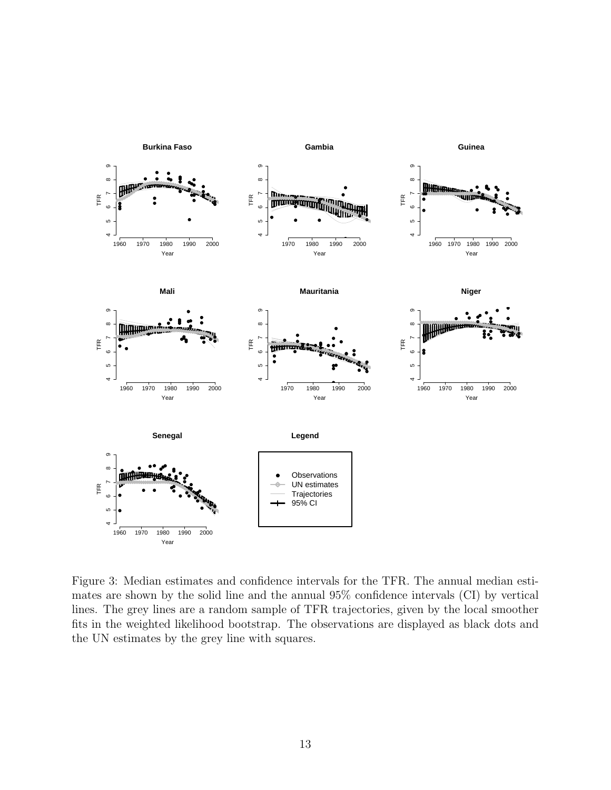

Figure 3: Median estimates and confidence intervals for the TFR. The annual median estimates are shown by the solid line and the annual 95% confidence intervals (CI) by vertical lines. The grey lines are a random sample of TFR trajectories, given by the local smoother fits in the weighted likelihood bootstrap. The observations are displayed as black dots and the UN estimates by the grey line with squares.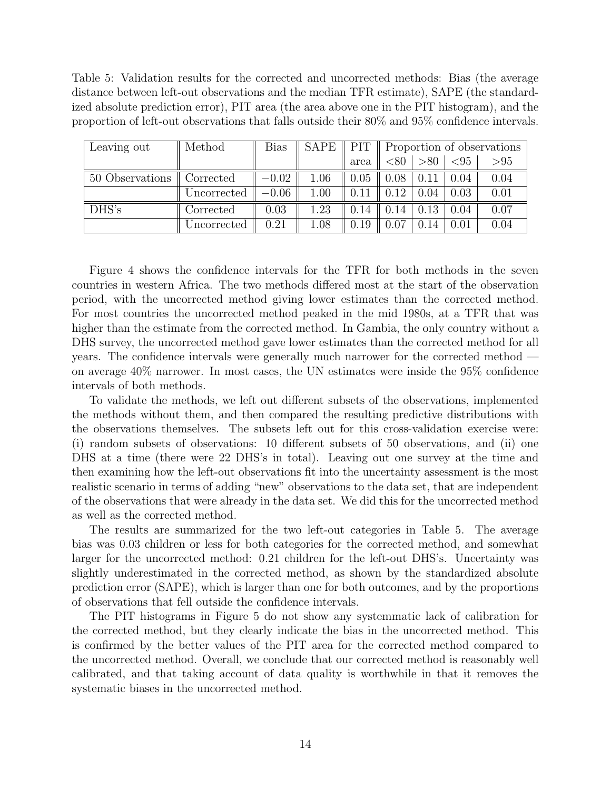Table 5: Validation results for the corrected and uncorrected methods: Bias (the average distance between left-out observations and the median TFR estimate), SAPE (the standardized absolute prediction error), PIT area (the area above one in the PIT histogram), and the proportion of left-out observations that falls outside their 80% and 95% confidence intervals.

| Leaving out     | Method      | <b>Bias</b> | SAPE     |      | PIT   Proportion of observations |      |                         |      |
|-----------------|-------------|-------------|----------|------|----------------------------------|------|-------------------------|------|
|                 |             |             |          | area | < 80                             |      | $\vert$ >80 $\vert$ <95 | > 95 |
| 50 Observations | Corrected   | $-0.02$     | 1.06     | 0.05 | 0.08                             | 0.11 | 0.04                    | 0.04 |
|                 | Uncorrected | $-0.06$     | 1.00     | 0.11 | 0.12                             | 0.04 | 0.03                    | 0.01 |
| DHS's           | Corrected   | 0.03        | 1.23     | 0.14 | 0.14                             | 0.13 | 0.04                    | 0.07 |
|                 | Uncorrected | 0.21        | $1.08\,$ | 0.19 | 0.07                             | 0.14 | 0.01                    | 0.04 |

Figure 4 shows the confidence intervals for the TFR for both methods in the seven countries in western Africa. The two methods differed most at the start of the observation period, with the uncorrected method giving lower estimates than the corrected method. For most countries the uncorrected method peaked in the mid 1980s, at a TFR that was higher than the estimate from the corrected method. In Gambia, the only country without a DHS survey, the uncorrected method gave lower estimates than the corrected method for all years. The confidence intervals were generally much narrower for the corrected method on average 40% narrower. In most cases, the UN estimates were inside the 95% confidence intervals of both methods.

To validate the methods, we left out different subsets of the observations, implemented the methods without them, and then compared the resulting predictive distributions with the observations themselves. The subsets left out for this cross-validation exercise were: (i) random subsets of observations: 10 different subsets of 50 observations, and (ii) one DHS at a time (there were 22 DHS's in total). Leaving out one survey at the time and then examining how the left-out observations fit into the uncertainty assessment is the most realistic scenario in terms of adding "new" observations to the data set, that are independent of the observations that were already in the data set. We did this for the uncorrected method as well as the corrected method.

The results are summarized for the two left-out categories in Table 5. The average bias was 0.03 children or less for both categories for the corrected method, and somewhat larger for the uncorrected method: 0.21 children for the left-out DHS's. Uncertainty was slightly underestimated in the corrected method, as shown by the standardized absolute prediction error (SAPE), which is larger than one for both outcomes, and by the proportions of observations that fell outside the confidence intervals.

The PIT histograms in Figure 5 do not show any systemmatic lack of calibration for the corrected method, but they clearly indicate the bias in the uncorrected method. This is confirmed by the better values of the PIT area for the corrected method compared to the uncorrected method. Overall, we conclude that our corrected method is reasonably well calibrated, and that taking account of data quality is worthwhile in that it removes the systematic biases in the uncorrected method.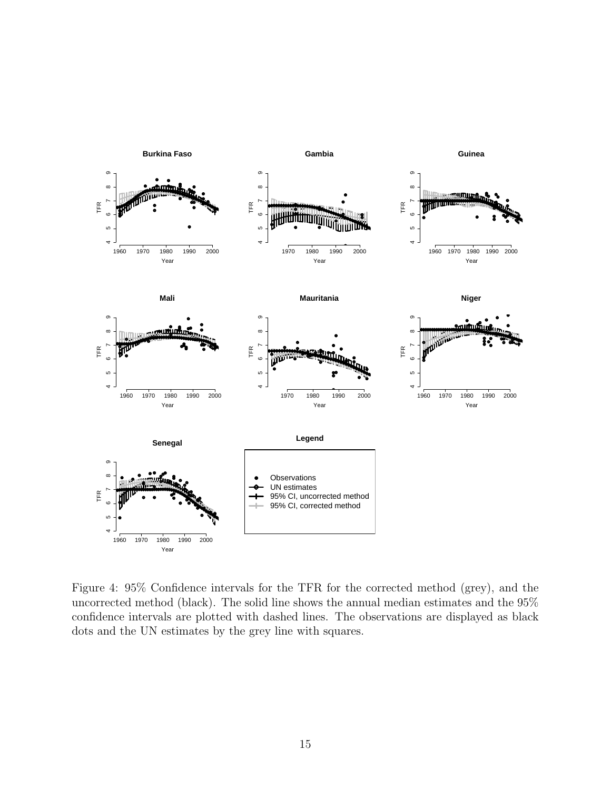

Figure 4: 95% Confidence intervals for the TFR for the corrected method (grey), and the uncorrected method (black). The solid line shows the annual median estimates and the 95% confidence intervals are plotted with dashed lines. The observations are displayed as black dots and the UN estimates by the grey line with squares.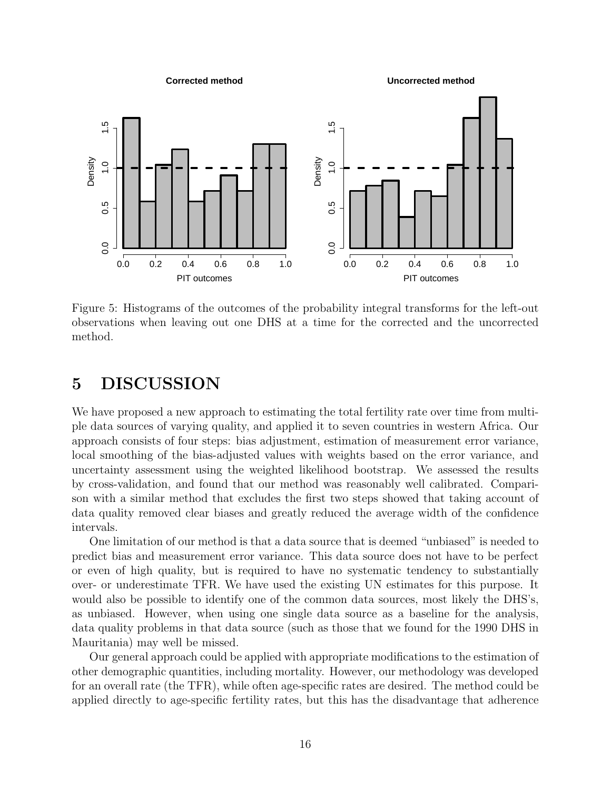

Figure 5: Histograms of the outcomes of the probability integral transforms for the left-out observations when leaving out one DHS at a time for the corrected and the uncorrected method.

## 5 DISCUSSION

We have proposed a new approach to estimating the total fertility rate over time from multiple data sources of varying quality, and applied it to seven countries in western Africa. Our approach consists of four steps: bias adjustment, estimation of measurement error variance, local smoothing of the bias-adjusted values with weights based on the error variance, and uncertainty assessment using the weighted likelihood bootstrap. We assessed the results by cross-validation, and found that our method was reasonably well calibrated. Comparison with a similar method that excludes the first two steps showed that taking account of data quality removed clear biases and greatly reduced the average width of the confidence intervals.

One limitation of our method is that a data source that is deemed "unbiased" is needed to predict bias and measurement error variance. This data source does not have to be perfect or even of high quality, but is required to have no systematic tendency to substantially over- or underestimate TFR. We have used the existing UN estimates for this purpose. It would also be possible to identify one of the common data sources, most likely the DHS's, as unbiased. However, when using one single data source as a baseline for the analysis, data quality problems in that data source (such as those that we found for the 1990 DHS in Mauritania) may well be missed.

Our general approach could be applied with appropriate modifications to the estimation of other demographic quantities, including mortality. However, our methodology was developed for an overall rate (the TFR), while often age-specific rates are desired. The method could be applied directly to age-specific fertility rates, but this has the disadvantage that adherence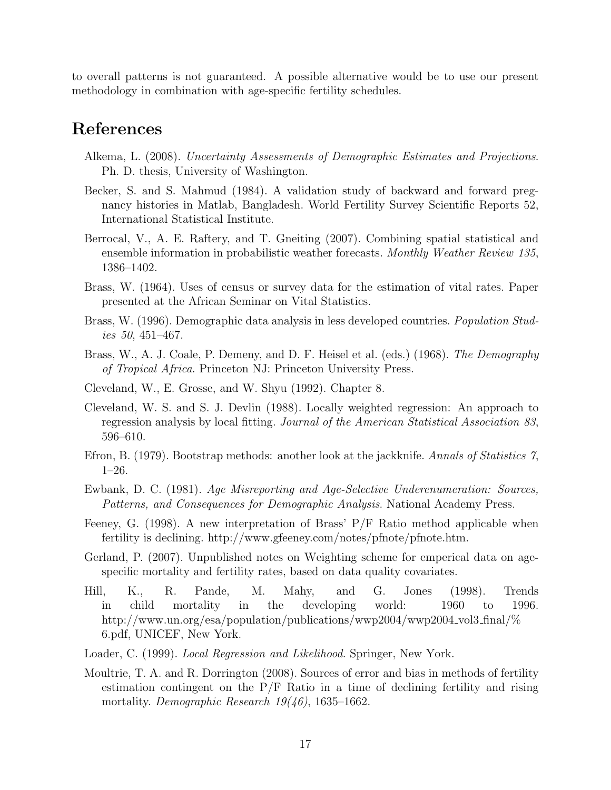to overall patterns is not guaranteed. A possible alternative would be to use our present methodology in combination with age-specific fertility schedules.

## References

- Alkema, L. (2008). Uncertainty Assessments of Demographic Estimates and Projections. Ph. D. thesis, University of Washington.
- Becker, S. and S. Mahmud (1984). A validation study of backward and forward pregnancy histories in Matlab, Bangladesh. World Fertility Survey Scientific Reports 52, International Statistical Institute.
- Berrocal, V., A. E. Raftery, and T. Gneiting (2007). Combining spatial statistical and ensemble information in probabilistic weather forecasts. Monthly Weather Review 135, 1386–1402.
- Brass, W. (1964). Uses of census or survey data for the estimation of vital rates. Paper presented at the African Seminar on Vital Statistics.
- Brass, W. (1996). Demographic data analysis in less developed countries. *Population Stud*ies 50, 451–467.
- Brass, W., A. J. Coale, P. Demeny, and D. F. Heisel et al. (eds.) (1968). The Demography of Tropical Africa. Princeton NJ: Princeton University Press.
- Cleveland, W., E. Grosse, and W. Shyu (1992). Chapter 8.
- Cleveland, W. S. and S. J. Devlin (1988). Locally weighted regression: An approach to regression analysis by local fitting. Journal of the American Statistical Association 83, 596–610.
- Efron, B. (1979). Bootstrap methods: another look at the jackknife. Annals of Statistics 7, 1–26.
- Ewbank, D. C. (1981). Age Misreporting and Age-Selective Underenumeration: Sources, Patterns, and Consequences for Demographic Analysis. National Academy Press.
- Feeney, G. (1998). A new interpretation of Brass' P/F Ratio method applicable when fertility is declining. http://www.gfeeney.com/notes/pfnote/pfnote.htm.
- Gerland, P. (2007). Unpublished notes on Weighting scheme for emperical data on agespecific mortality and fertility rates, based on data quality covariates.
- Hill, K., R. Pande, M. Mahy, and G. Jones (1998). Trends in child mortality in the developing world: 1960 to 1996. http://www.un.org/esa/population/publications/wwp2004/wwp2004 vol3 final/% 6.pdf, UNICEF, New York.
- Loader, C. (1999). Local Regression and Likelihood. Springer, New York.
- Moultrie, T. A. and R. Dorrington (2008). Sources of error and bias in methods of fertility estimation contingent on the P/F Ratio in a time of declining fertility and rising mortality. Demographic Research  $19(46)$ , 1635–1662.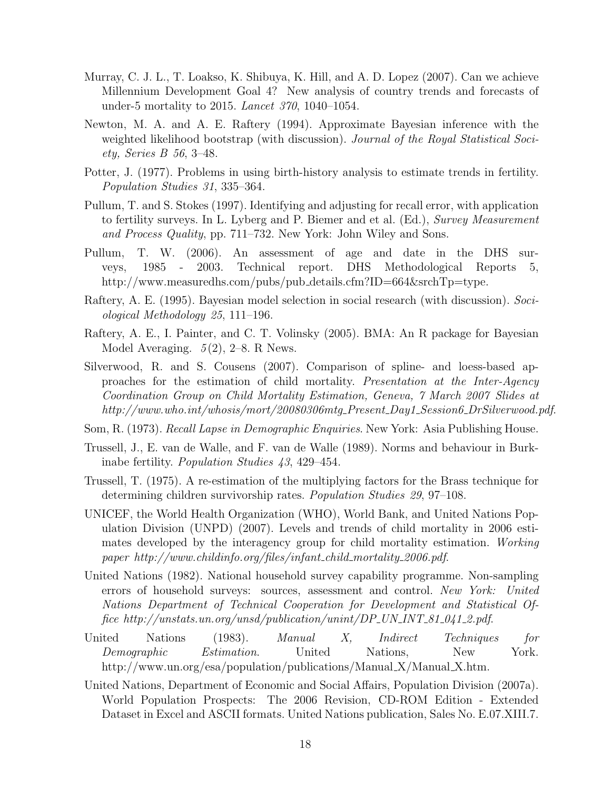- Murray, C. J. L., T. Loakso, K. Shibuya, K. Hill, and A. D. Lopez (2007). Can we achieve Millennium Development Goal 4? New analysis of country trends and forecasts of under-5 mortality to 2015. Lancet 370, 1040–1054.
- Newton, M. A. and A. E. Raftery (1994). Approximate Bayesian inference with the weighted likelihood bootstrap (with discussion). Journal of the Royal Statistical Society, Series B 56, 3–48.
- Potter, J. (1977). Problems in using birth-history analysis to estimate trends in fertility. Population Studies 31, 335–364.
- Pullum, T. and S. Stokes (1997). Identifying and adjusting for recall error, with application to fertility surveys. In L. Lyberg and P. Biemer and et al. (Ed.), Survey Measurement and Process Quality, pp. 711–732. New York: John Wiley and Sons.
- Pullum, T. W. (2006). An assessment of age and date in the DHS surveys, 1985 - 2003. Technical report. DHS Methodological Reports 5, http://www.measuredhs.com/pubs/pub\_details.cfm?ID=664&srchTp=type.
- Raftery, A. E. (1995). Bayesian model selection in social research (with discussion). Sociological Methodology 25, 111–196.
- Raftery, A. E., I. Painter, and C. T. Volinsky (2005). BMA: An R package for Bayesian Model Averaging.  $5(2)$ , 2–8. R News.
- Silverwood, R. and S. Cousens (2007). Comparison of spline- and loess-based approaches for the estimation of child mortality. Presentation at the Inter-Agency Coordination Group on Child Mortality Estimation, Geneva, 7 March 2007 Slides at http://www.who.int/whosis/mort/20080306mtg\_Present\_Day1\_Session6\_DrSilverwood.pdf.
- Som, R. (1973). Recall Lapse in Demographic Enquiries. New York: Asia Publishing House.
- Trussell, J., E. van de Walle, and F. van de Walle (1989). Norms and behaviour in Burkinabe fertility. Population Studies 43, 429–454.
- Trussell, T. (1975). A re-estimation of the multiplying factors for the Brass technique for determining children survivorship rates. Population Studies 29, 97–108.
- UNICEF, the World Health Organization (WHO), World Bank, and United Nations Population Division (UNPD) (2007). Levels and trends of child mortality in 2006 estimates developed by the interagency group for child mortality estimation. Working paper http://www.childinfo.org/files/infant child mortality 2006.pdf.
- United Nations (1982). National household survey capability programme. Non-sampling errors of household surveys: sources, assessment and control. New York: United Nations Department of Technical Cooperation for Development and Statistical Office http://unstats.un.org/unsd/publication/unint/DP\_UN\_INT\_81\_041\_2.pdf.
- United Nations (1983). Manual X, Indirect Techniques for Demographic Estimation. United Nations, New York. http://www.un.org/esa/population/publications/Manual X/Manual X.htm.
- United Nations, Department of Economic and Social Affairs, Population Division (2007a). World Population Prospects: The 2006 Revision, CD-ROM Edition - Extended Dataset in Excel and ASCII formats. United Nations publication, Sales No. E.07.XIII.7.